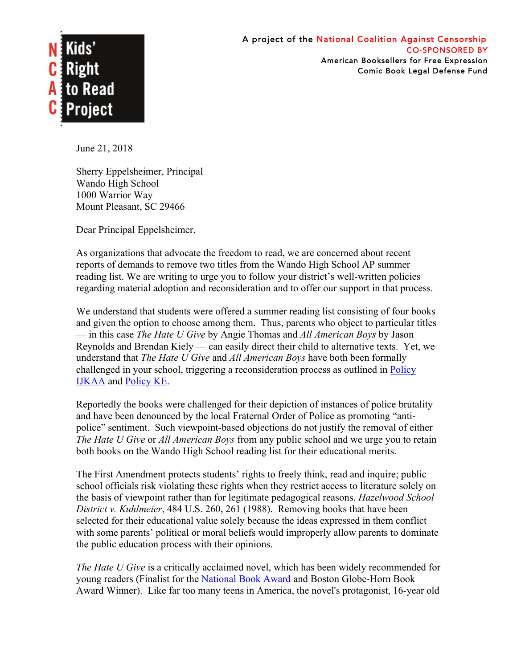

June 21, 2018

Sherry Eppelsheimer, Principal Wando High School 1000 Warrior Way Mount Pleasant, SC 29466

Dear Principal Eppelsheimer,

As organizations that advocate the freedom to read, we are concerned about recent reports of demands to remove two titles from the Wando High School AP summer reading list. We are writing to urge you to follow your district's well-written policies regarding material adoption and reconsideration and to offer our support in that process.

We understand that students were offered a summer reading list consisting of four books and given the option to choose among them. Thus, parents who object to particular titles — in this case *The Hate U Give* by Angie Thomas and *All American Boys* by Jason Reynolds and Brendan Kiely — can easily direct their child to alternative texts. Yet, we understand that *The Hate U Give* and *All American Boys* have both been formally challenged in your school, triggering a reconsideration process as outlined in Policy IJKAA and Policy KE.

Reportedly the books were challenged for their depiction of instances of police brutality and have been denounced by the local Fraternal Order of Police as promoting "antipolice" sentiment. Such viewpoint-based objections do not justify the removal of either *The Hate U Give* or *All American Boys* from any public school and we urge you to retain both books on the Wando High School reading list for their educational merits.

The First Amendment protects students' rights to freely think, read and inquire; public school officials risk violating these rights when they restrict access to literature solely on the basis of viewpoint rather than for legitimate pedagogical reasons. *Hazelwood School District v. Kuhlmeier*, 484 U.S. 260, 261 (1988). Removing books that have been selected for their educational value solely because the ideas expressed in them conflict with some parents' political or moral beliefs would improperly allow parents to dominate the public education process with their opinions.

*The Hate U Give* is a critically acclaimed novel, which has been widely recommended for young readers (Finalist for the National Book Award and Boston Globe-Horn Book Award Winner). Like far too many teens in America, the novel's protagonist, 16-year old